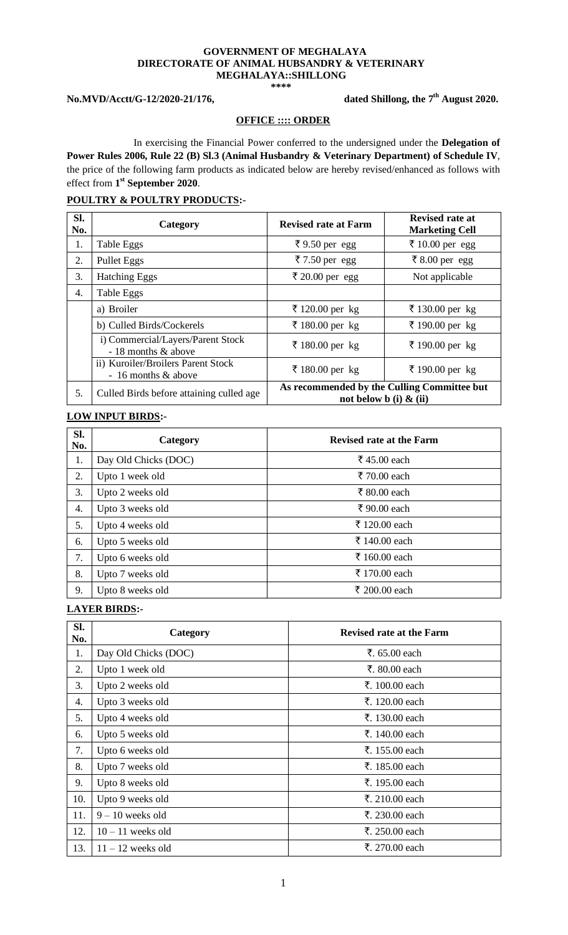#### **GOVERNMENT OF MEGHALAYA DIRECTORATE OF ANIMAL HUBSANDRY & VETERINARY MEGHALAYA::SHILLONG \*\*\*\***

 $No.MVD/Acett/G-12/2020-21/176,$ 

### **th August 2020.**

#### **OFFICE :::: ORDER**

In exercising the Financial Power conferred to the undersigned under the **Delegation of Power Rules 2006, Rule 22 (B) Sl.3 (Animal Husbandry & Veterinary Department) of Schedule IV**, the price of the following farm products as indicated below are hereby revised/enhanced as follows with effect from **1 st September 2020**.

### **POULTRY & POULTRY PRODUCTS:-**

| SI.<br>No. | Category                                                  | <b>Revised rate at Farm</b> | Revised rate at<br><b>Marketing Cell</b>    |
|------------|-----------------------------------------------------------|-----------------------------|---------------------------------------------|
| 1.         | Table Eggs                                                | ₹9.50 per egg               | ₹ 10.00 per egg                             |
| 2.         | Pullet Eggs                                               | ₹ 7.50 per egg              | ₹ 8.00 per egg                              |
| 3.         | <b>Hatching Eggs</b>                                      | ₹ 20.00 per egg             | Not applicable                              |
| 4.         | Table Eggs                                                |                             |                                             |
|            | a) Broiler                                                | ₹ 120.00 per kg             | ₹ 130.00 per kg                             |
|            | b) Culled Birds/Cockerels                                 | ₹ 180.00 per kg             | ₹ 190.00 per kg                             |
|            | i) Commercial/Layers/Parent Stock<br>- 18 months & above  | ₹ 180.00 per kg             | ₹ 190.00 per kg                             |
|            | ii) Kuroiler/Broilers Parent Stock<br>- 16 months & above | ₹ 180.00 per kg             | ₹ 190.00 per kg                             |
| 5.         | Culled Birds before attaining culled age                  | not below b (i) $\&$ (ii)   | As recommended by the Culling Committee but |

### **LOW INPUT BIRDS:-**

| Sl.<br>No. | Category             | <b>Revised rate at the Farm</b> |
|------------|----------------------|---------------------------------|
| 1.         | Day Old Chicks (DOC) | ₹ 45.00 each                    |
| 2.         | Upto 1 week old      | ₹ 70.00 each                    |
| 3.         | Upto 2 weeks old     | ₹ 80.00 each                    |
| 4.         | Upto 3 weeks old     | ₹ 90.00 each                    |
| 5.         | Upto 4 weeks old     | ₹ 120.00 each                   |
| 6.         | Upto 5 weeks old     | ₹ 140.00 each                   |
| 7.         | Upto 6 weeks old     | ₹ 160.00 each                   |
| 8.         | Upto 7 weeks old     | ₹ 170.00 each                   |
| 9.         | Upto 8 weeks old     | ₹ 200.00 each                   |

### **LAYER BIRDS:-**

| SI.<br>No. | Category             | <b>Revised rate at the Farm</b> |
|------------|----------------------|---------------------------------|
| 1.         | Day Old Chicks (DOC) | ₹. $65.00$ each                 |
| 2.         | Upto 1 week old      | ₹. 80.00 each                   |
| 3.         | Upto 2 weeks old     | ₹. 100.00 each                  |
| 4.         | Upto 3 weeks old     | ₹. 120.00 each                  |
| 5.         | Upto 4 weeks old     | ₹. 130.00 each                  |
| 6.         | Upto 5 weeks old     | ₹. 140.00 each                  |
| 7.         | Upto 6 weeks old     | ₹. 155.00 each                  |
| 8.         | Upto 7 weeks old     | ₹. 185.00 each                  |
| 9.         | Upto 8 weeks old     | ₹. 195.00 each                  |
| 10.        | Upto 9 weeks old     | ₹. 210.00 each                  |
| 11.        | $9 - 10$ weeks old   | ₹. 230.00 each                  |
| 12.        | $10 - 11$ weeks old  | ₹. 250.00 each                  |
| 13.        | $11 - 12$ weeks old  | ₹. 270.00 each                  |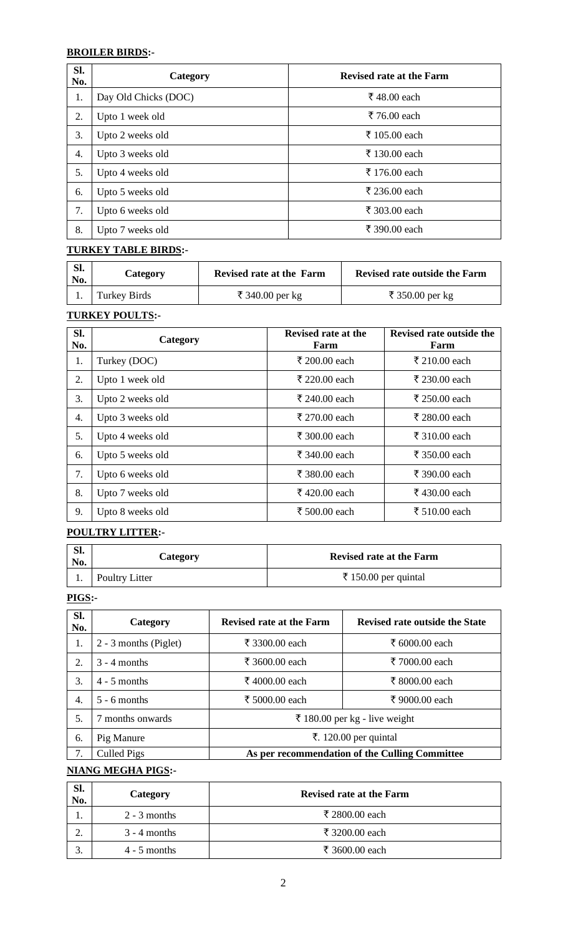### **BROILER BIRDS:-**

| SI.<br>No. | Category             | <b>Revised rate at the Farm</b> |
|------------|----------------------|---------------------------------|
| 1.         | Day Old Chicks (DOC) | ₹ 48.00 each                    |
| 2.         | Upto 1 week old      | ₹ 76.00 each                    |
| 3.         | Upto 2 weeks old     | ₹ 105.00 each                   |
| 4.         | Upto 3 weeks old     | ₹ 130.00 each                   |
| 5.         | Upto 4 weeks old     | ₹ 176.00 each                   |
| 6.         | Upto 5 weeks old     | ₹ 236.00 each                   |
| 7.         | Upto 6 weeks old     | ₹ 303.00 each                   |
| 8.         | Upto 7 weeks old     | ₹ 390.00 each                   |

### **TURKEY TABLE BIRDS:-**

| SI.<br>No. | <b>Category</b> | Revised rate at the Farm | Revised rate outside the Farm |
|------------|-----------------|--------------------------|-------------------------------|
|            | Turkey Birds    | ₹ 340.00 per kg          | ₹ 350.00 per kg               |

### **TURKEY POULTS:-**

| SI.<br>No. | Category         | <b>Revised rate at the</b><br>Farm | Revised rate outside the<br>Farm |
|------------|------------------|------------------------------------|----------------------------------|
| 1.         | Turkey (DOC)     | ₹ 200.00 each                      | ₹ 210.00 each                    |
| 2.         | Upto 1 week old  | ₹ 220.00 each                      | ₹ 230.00 each                    |
| 3.         | Upto 2 weeks old | ₹ 240.00 each                      | ₹ 250.00 each                    |
| 4.         | Upto 3 weeks old | ₹ 270.00 each                      | ₹ 280.00 each                    |
| 5.         | Upto 4 weeks old | ₹ 300.00 each                      | ₹ 310.00 each                    |
| 6.         | Upto 5 weeks old | ₹ 340.00 each                      | ₹ 350.00 each                    |
| 7.         | Upto 6 weeks old | ₹ 380.00 each                      | ₹ 390.00 each                    |
| 8.         | Upto 7 weeks old | ₹ 420.00 each                      | ₹ 430.00 each                    |
| 9.         | Upto 8 weeks old | ₹ 500.00 each                      | ₹ 510.00 each                    |

# **POULTRY LITTER:-**

| SI.<br>No. | Category       | <b>Revised rate at the Farm</b> |
|------------|----------------|---------------------------------|
|            | Poultry Litter | ₹ 150.00 per quintal            |

### **PIGS:-**

| SI.<br>No.       | Category              | <b>Revised rate at the Farm</b>                | <b>Revised rate outside the State</b> |
|------------------|-----------------------|------------------------------------------------|---------------------------------------|
| 1.               | 2 - 3 months (Piglet) | ₹ 3300.00 each                                 | ₹ 6000.00 each                        |
| 2.               | $3 - 4$ months        | ₹ 3600.00 each                                 | ₹ 7000.00 each                        |
| 3.               | $4 - 5$ months        | ₹ 4000.00 each                                 | ₹ 8000.00 each                        |
| $\overline{4}$ . | $5 - 6$ months        | ₹ 5000.00 each                                 | ₹ 9000.00 each                        |
| .5.              | months onwards        |                                                | ₹ 180.00 per kg - live weight         |
| 6.               | Pig Manure            | ₹. 120.00 per quintal                          |                                       |
| 7.               | Culled Pigs           | As per recommendation of the Culling Committee |                                       |

# **NIANG MEGHA PIGS:-**

| Sl.<br>No. | Category       | <b>Revised rate at the Farm</b> |
|------------|----------------|---------------------------------|
| ı.         | $2 - 3$ months | ₹ 2800.00 each                  |
| ۷.         | $3 - 4$ months | ₹ 3200.00 each                  |
|            | $4 - 5$ months | ₹ 3600.00 each                  |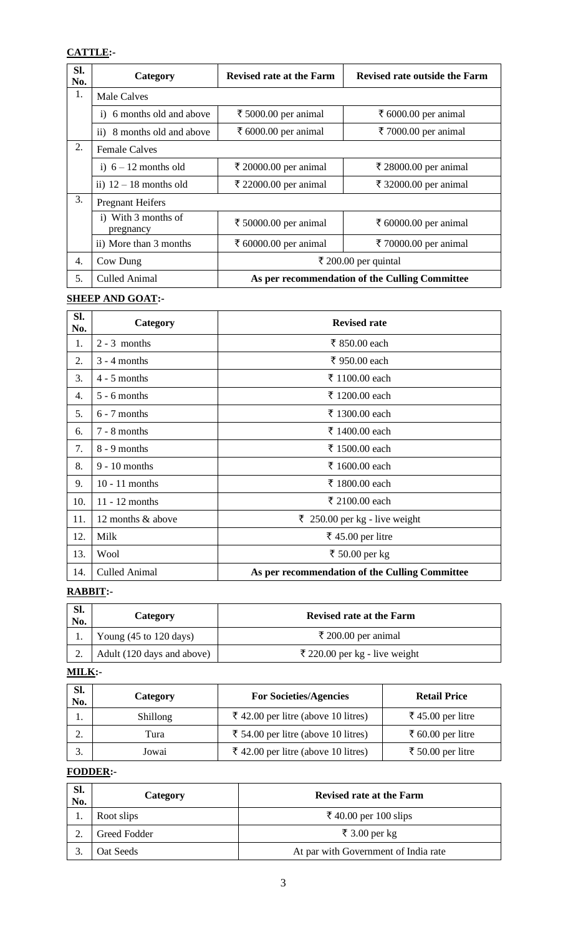# **CATTLE:-**

| Sl.<br>No. | Category                            | <b>Revised rate at the Farm</b>                | Revised rate outside the Farm |
|------------|-------------------------------------|------------------------------------------------|-------------------------------|
| 1.         | Male Calves                         |                                                |                               |
|            | i) 6 months old and above           | ₹ 5000.00 per animal                           | ₹ 6000.00 per animal          |
|            | 8 months old and above<br>$\rm ii)$ | ₹ 6000.00 per animal                           | ₹ 7000.00 per animal          |
| 2.         | <b>Female Calves</b>                |                                                |                               |
|            | i) $6 - 12$ months old              | ₹ 20000.00 per animal                          | ₹ 28000.00 per animal         |
|            | ii) $12 - 18$ months old            | ₹ 22000.00 per animal                          | ₹ 32000.00 per animal         |
| 3.         | <b>Pregnant Heifers</b>             |                                                |                               |
|            | i) With 3 months of<br>pregnancy    | ₹ 50000.00 per animal                          | ₹ 60000.00 per animal         |
|            | ii) More than 3 months              | ₹ 60000.00 per animal                          | ₹ 70000.00 per animal         |
| 4.         | Cow Dung                            | ₹ 200.00 per quintal                           |                               |
| 5.         | <b>Culled Animal</b>                | As per recommendation of the Culling Committee |                               |

# **SHEEP AND GOAT:-**

| SI.<br>No. | Category             | <b>Revised rate</b>                            |
|------------|----------------------|------------------------------------------------|
| 1.         | $2 - 3$ months       | ₹ 850.00 each                                  |
| 2.         | $3 - 4$ months       | ₹ 950.00 each                                  |
| 3.         | $4 - 5$ months       | ₹ 1100.00 each                                 |
| 4.         | $5 - 6$ months       | ₹ 1200.00 each                                 |
| 5.         | $6 - 7$ months       | ₹ 1300.00 each                                 |
| 6.         | 7 - 8 months         | ₹ 1400.00 each                                 |
| 7.         | $8 - 9$ months       | ₹ 1500.00 each                                 |
| 8.         | $9 - 10$ months      | ₹ 1600.00 each                                 |
| 9.         | $10 - 11$ months     | ₹ 1800.00 each                                 |
| 10.        | $11 - 12$ months     | ₹ 2100.00 each                                 |
| 11.        | 12 months & above    | ₹ 250.00 per kg - live weight                  |
| 12.        | Milk                 | ₹ 45.00 per litre                              |
| 13.        | Wool                 | ₹ 50.00 per kg                                 |
| 14.        | <b>Culled Animal</b> | As per recommendation of the Culling Committee |

# **RABBIT:-**

| Sl.<br>No. | Category                                  | <b>Revised rate at the Farm</b> |
|------------|-------------------------------------------|---------------------------------|
|            | Young $(45 \text{ to } 120 \text{ days})$ | ₹ 200.00 per animal             |
| ۷.         | Adult (120 days and above)                | ₹ 220.00 per kg - live weight   |

# **MILK:-**

| Sl.<br>No. | Category | <b>For Societies/Agencies</b>       | <b>Retail Price</b> |
|------------|----------|-------------------------------------|---------------------|
| . .        | Shillong | ₹ 42.00 per litre (above 10 litres) | ₹ 45.00 per litre   |
|            | Tura     | ₹ 54.00 per litre (above 10 litres) | ₹ 60.00 per litre   |
| s.         | Jowai    | ₹ 42.00 per litre (above 10 litres) | ₹ 50.00 per litre   |

# **FODDER:-**

| SI.<br>No. | Category     | <b>Revised rate at the Farm</b>      |  |
|------------|--------------|--------------------------------------|--|
|            | Root slips   | ₹ 40.00 per 100 slips                |  |
|            | Greed Fodder | ₹ 3.00 per kg                        |  |
|            | Oat Seeds    | At par with Government of India rate |  |